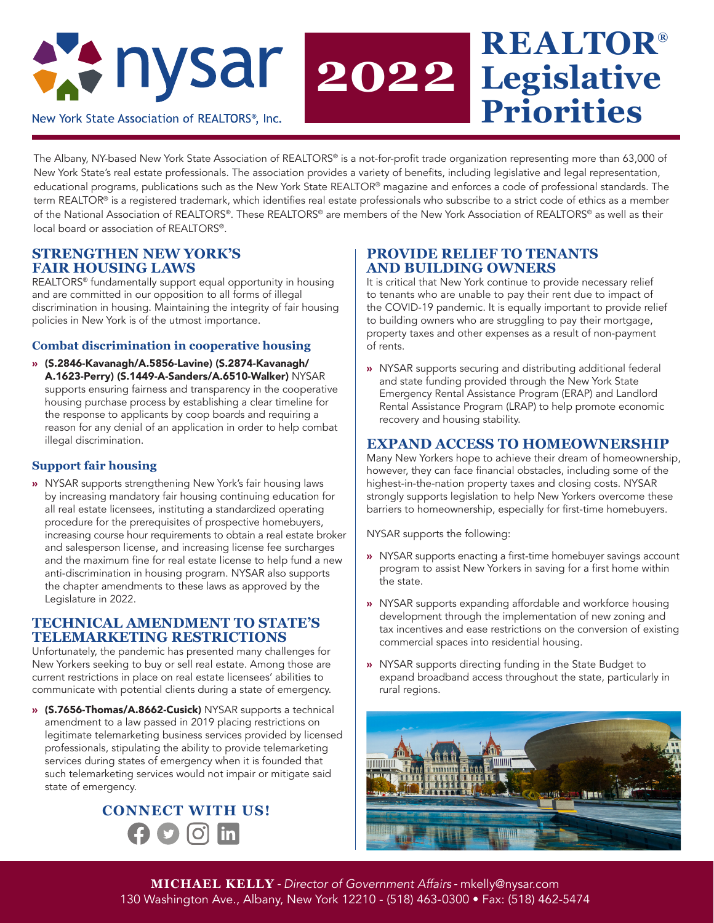

# **REALTOR® Legislative Priorities**

The Albany, NY-based New York State Association of REALTORS® is a not-for-profit trade organization representing more than 63,000 of New York State's real estate professionals. The association provides a variety of benefits, including legislative and legal representation, educational programs, publications such as the New York State REALTOR® magazine and enforces a code of professional standards. The term REALTOR® is a registered trademark, which identifies real estate professionals who subscribe to a strict code of ethics as a member of the National Association of REALTORS®. These REALTORS® are members of the New York Association of REALTORS® as well as their local board or association of REALTORS®.

**2022**

# **STRENGTHEN NEW YORK'S FAIR HOUSING LAWS**

REALTORS® fundamentally support equal opportunity in housing and are committed in our opposition to all forms of illegal discrimination in housing. Maintaining the integrity of fair housing policies in New York is of the utmost importance.

#### **Combat discrimination in cooperative housing**

» (S.2846-Kavanagh/A.5856-Lavine) (S.2874-Kavanagh/ A.1623-Perry) (S.1449-A-Sanders/A.6510-Walker) NYSAR supports ensuring fairness and transparency in the cooperative housing purchase process by establishing a clear timeline for the response to applicants by coop boards and requiring a reason for any denial of an application in order to help combat illegal discrimination.

### **Support fair housing**

» NYSAR supports strengthening New York's fair housing laws by increasing mandatory fair housing continuing education for all real estate licensees, instituting a standardized operating procedure for the prerequisites of prospective homebuyers, increasing course hour requirements to obtain a real estate broker and salesperson license, and increasing license fee surcharges and the maximum fine for real estate license to help fund a new anti-discrimination in housing program. NYSAR also supports the chapter amendments to these laws as approved by the Legislature in 2022.

### **TECHNICAL AMENDMENT TO STATE'S TELEMARKETING RESTRICTIONS**

Unfortunately, the pandemic has presented many challenges for New Yorkers seeking to buy or sell real estate. Among those are current restrictions in place on real estate licensees' abilities to communicate with potential clients during a state of emergency.

» (S.7656-Thomas/A.8662-Cusick) NYSAR supports a technical amendment to a law passed in 2019 placing restrictions on legitimate telemarketing business services provided by licensed professionals, stipulating the ability to provide telemarketing services during states of emergency when it is founded that such telemarketing services would not impair or mitigate said state of emergency.

# **CONNECT WITH US!** $\bigcirc$   $\bigcirc$

# **PROVIDE RELIEF TO TENANTS AND BUILDING OWNERS**

It is critical that New York continue to provide necessary relief to tenants who are unable to pay their rent due to impact of the COVID-19 pandemic. It is equally important to provide relief to building owners who are struggling to pay their mortgage, property taxes and other expenses as a result of non-payment of rents.

» NYSAR supports securing and distributing additional federal and state funding provided through the New York State Emergency Rental Assistance Program (ERAP) and Landlord Rental Assistance Program (LRAP) to help promote economic recovery and housing stability.

# **EXPAND ACCESS TO HOMEOWNERSHIP**

Many New Yorkers hope to achieve their dream of homeownership, however, they can face financial obstacles, including some of the highest-in-the-nation property taxes and closing costs. NYSAR strongly supports legislation to help New Yorkers overcome these barriers to homeownership, especially for first-time homebuyers.

NYSAR supports the following:

- » NYSAR supports enacting a first-time homebuyer savings account program to assist New Yorkers in saving for a first home within the state.
- » NYSAR supports expanding affordable and workforce housing development through the implementation of new zoning and tax incentives and ease restrictions on the conversion of existing commercial spaces into residential housing.
- » NYSAR supports directing funding in the State Budget to expand broadband access throughout the state, particularly in rural regions.



**MICHAEL KELLY** - *Director of Government Affairs* - mkelly@nysar.com 130 Washington Ave., Albany, New York 12210 - (518) 463-0300 • Fax: (518) 462-5474